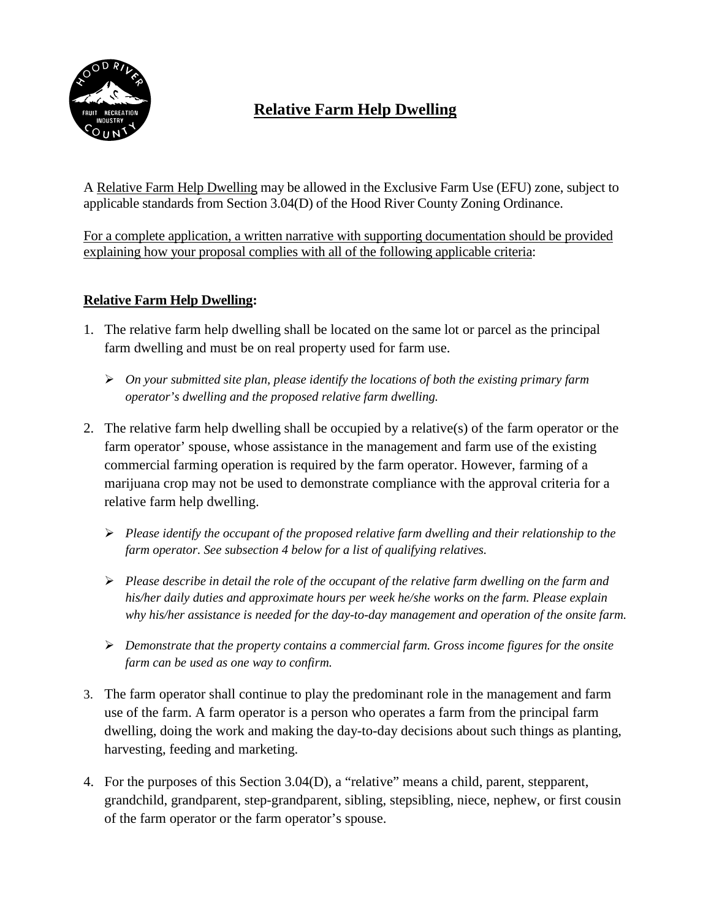

# **Relative Farm Help Dwelling**

A Relative Farm Help Dwelling may be allowed in the Exclusive Farm Use (EFU) zone, subject to applicable standards from Section 3.04(D) of the Hood River County Zoning Ordinance.

For a complete application, a written narrative with supporting documentation should be provided explaining how your proposal complies with all of the following applicable criteria:

### **Relative Farm Help Dwelling:**

- 1. The relative farm help dwelling shall be located on the same lot or parcel as the principal farm dwelling and must be on real property used for farm use.
	- *On your submitted site plan, please identify the locations of both the existing primary farm operator's dwelling and the proposed relative farm dwelling.*
- 2. The relative farm help dwelling shall be occupied by a relative(s) of the farm operator or the farm operator' spouse, whose assistance in the management and farm use of the existing commercial farming operation is required by the farm operator. However, farming of a marijuana crop may not be used to demonstrate compliance with the approval criteria for a relative farm help dwelling.
	- *Please identify the occupant of the proposed relative farm dwelling and their relationship to the farm operator. See subsection 4 below for a list of qualifying relatives.*
	- *Please describe in detail the role of the occupant of the relative farm dwelling on the farm and his/her daily duties and approximate hours per week he/she works on the farm. Please explain why his/her assistance is needed for the day-to-day management and operation of the onsite farm.*
	- *Demonstrate that the property contains a commercial farm. Gross income figures for the onsite farm can be used as one way to confirm.*
- 3. The farm operator shall continue to play the predominant role in the management and farm use of the farm. A farm operator is a person who operates a farm from the principal farm dwelling, doing the work and making the day-to-day decisions about such things as planting, harvesting, feeding and marketing.
- 4. For the purposes of this Section 3.04(D), a "relative" means a child, parent, stepparent, grandchild, grandparent, step-grandparent, sibling, stepsibling, niece, nephew, or first cousin of the farm operator or the farm operator's spouse.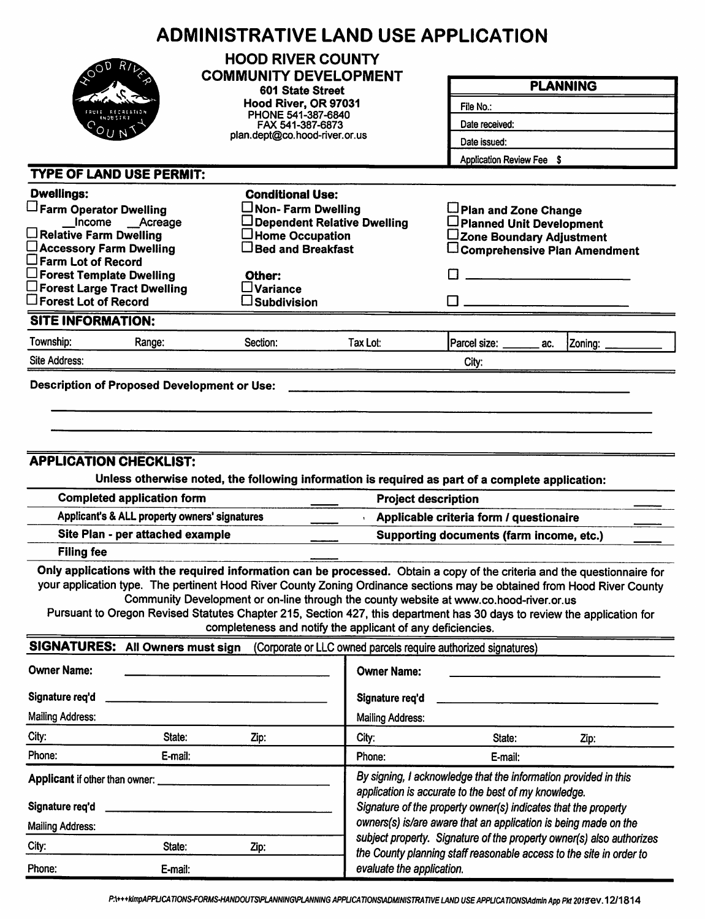|                                                                                                                                                                                                                                                    | <b>ADMINISTRATIVE LAND USE APPLICATION</b>                                                                                                                                                                                                                                                                                                                                                                             |                                                                                                                                                                                           |                                                                      |                                                                                     |  |  |  |
|----------------------------------------------------------------------------------------------------------------------------------------------------------------------------------------------------------------------------------------------------|------------------------------------------------------------------------------------------------------------------------------------------------------------------------------------------------------------------------------------------------------------------------------------------------------------------------------------------------------------------------------------------------------------------------|-------------------------------------------------------------------------------------------------------------------------------------------------------------------------------------------|----------------------------------------------------------------------|-------------------------------------------------------------------------------------|--|--|--|
|                                                                                                                                                                                                                                                    | <b>HOOD RIVER COUNTY</b><br><b>COMMUNITY DEVELOPMENT</b>                                                                                                                                                                                                                                                                                                                                                               |                                                                                                                                                                                           |                                                                      | <b>PLANNING</b>                                                                     |  |  |  |
|                                                                                                                                                                                                                                                    | 601 State Street                                                                                                                                                                                                                                                                                                                                                                                                       |                                                                                                                                                                                           |                                                                      |                                                                                     |  |  |  |
|                                                                                                                                                                                                                                                    | Hood River, OR 97031<br>PHONE 541-387-6840                                                                                                                                                                                                                                                                                                                                                                             |                                                                                                                                                                                           | File No.:                                                            |                                                                                     |  |  |  |
|                                                                                                                                                                                                                                                    | FAX 541-387-6873                                                                                                                                                                                                                                                                                                                                                                                                       |                                                                                                                                                                                           | Date received:                                                       |                                                                                     |  |  |  |
|                                                                                                                                                                                                                                                    |                                                                                                                                                                                                                                                                                                                                                                                                                        | plan.dept@co.hood-river.or.us                                                                                                                                                             |                                                                      | Date issued:<br>Application Review Fee \$                                           |  |  |  |
|                                                                                                                                                                                                                                                    |                                                                                                                                                                                                                                                                                                                                                                                                                        |                                                                                                                                                                                           |                                                                      |                                                                                     |  |  |  |
| <b>TYPE OF LAND USE PERMIT:</b>                                                                                                                                                                                                                    |                                                                                                                                                                                                                                                                                                                                                                                                                        |                                                                                                                                                                                           |                                                                      |                                                                                     |  |  |  |
| <b>Dwellings:</b>                                                                                                                                                                                                                                  | <b>Conditional Use:</b>                                                                                                                                                                                                                                                                                                                                                                                                |                                                                                                                                                                                           |                                                                      |                                                                                     |  |  |  |
| Farm Operator Dwelling<br>Income __Acreage                                                                                                                                                                                                         | $\Box$ Non- Farm Dwelling                                                                                                                                                                                                                                                                                                                                                                                              | Dependent Relative Dwelling                                                                                                                                                               | Plan and Zone Change<br>□ Planned Unit Development                   |                                                                                     |  |  |  |
| $\Box$ Relative Farm Dwelling                                                                                                                                                                                                                      | $\Box$ Home Occupation                                                                                                                                                                                                                                                                                                                                                                                                 |                                                                                                                                                                                           | ∟Zone Boundary Adjustment                                            |                                                                                     |  |  |  |
| □ Accessory Farm Dwelling                                                                                                                                                                                                                          | $\Box$ Bed and Breakfast                                                                                                                                                                                                                                                                                                                                                                                               |                                                                                                                                                                                           |                                                                      | $\Box$ Comprehensive Plan Amendment                                                 |  |  |  |
| $\square$ Farm Lot of Record<br>$\Box$ Forest Template Dwelling                                                                                                                                                                                    | Other:                                                                                                                                                                                                                                                                                                                                                                                                                 |                                                                                                                                                                                           |                                                                      |                                                                                     |  |  |  |
| $\square$ Forest Large Tract Dwelling                                                                                                                                                                                                              | $\square$ Variance                                                                                                                                                                                                                                                                                                                                                                                                     |                                                                                                                                                                                           |                                                                      |                                                                                     |  |  |  |
| $\square$ Forest Lot of Record                                                                                                                                                                                                                     | $\square$ Subdivision                                                                                                                                                                                                                                                                                                                                                                                                  |                                                                                                                                                                                           |                                                                      |                                                                                     |  |  |  |
| <b>SITE INFORMATION:</b>                                                                                                                                                                                                                           |                                                                                                                                                                                                                                                                                                                                                                                                                        |                                                                                                                                                                                           |                                                                      |                                                                                     |  |  |  |
| Township:<br>Range:                                                                                                                                                                                                                                | Section:                                                                                                                                                                                                                                                                                                                                                                                                               | Tax Lot:                                                                                                                                                                                  | Parcel size: ______<br>ac.                                           | Zoning:                                                                             |  |  |  |
| Site Address:                                                                                                                                                                                                                                      |                                                                                                                                                                                                                                                                                                                                                                                                                        |                                                                                                                                                                                           | City:                                                                |                                                                                     |  |  |  |
| <b>Filing fee</b>                                                                                                                                                                                                                                  | <b>APPLICATION CHECKLIST:</b><br>Unless otherwise noted, the following information is required as part of a complete application:<br><b>Completed application form</b><br><b>Project description</b><br>Applicant's & ALL property owners' signatures<br>Site Plan - per attached example<br>Only applications with the required information can be processed. Obtain a copy of the criteria and the questionnaire for |                                                                                                                                                                                           |                                                                      | Applicable criteria form / questionaire<br>Supporting documents (farm income, etc.) |  |  |  |
| your application type. The pertinent Hood River County Zoning Ordinance sections may be obtained from Hood River County<br>Pursuant to Oregon Revised Statutes Chapter 215, Section 427, this department has 30 days to review the application for | Community Development or on-line through the county website at www.co.hood-river.or.us<br>completeness and notify the applicant of any deficiencies.                                                                                                                                                                                                                                                                   |                                                                                                                                                                                           |                                                                      |                                                                                     |  |  |  |
| SIGNATURES: All Owners must sign                                                                                                                                                                                                                   |                                                                                                                                                                                                                                                                                                                                                                                                                        |                                                                                                                                                                                           | (Corporate or LLC owned parcels require authorized signatures)       |                                                                                     |  |  |  |
| <b>Owner Name:</b>                                                                                                                                                                                                                                 |                                                                                                                                                                                                                                                                                                                                                                                                                        | <b>Owner Name:</b>                                                                                                                                                                        |                                                                      |                                                                                     |  |  |  |
| Signature req'd                                                                                                                                                                                                                                    |                                                                                                                                                                                                                                                                                                                                                                                                                        | Signature req'd                                                                                                                                                                           |                                                                      |                                                                                     |  |  |  |
| <b>Mailing Address:</b>                                                                                                                                                                                                                            |                                                                                                                                                                                                                                                                                                                                                                                                                        | <b>Mailing Address:</b>                                                                                                                                                                   |                                                                      |                                                                                     |  |  |  |
| City:<br>State:                                                                                                                                                                                                                                    | Zip:                                                                                                                                                                                                                                                                                                                                                                                                                   | City:                                                                                                                                                                                     | State:                                                               | Zip:                                                                                |  |  |  |
| Phone:<br>E-mail:                                                                                                                                                                                                                                  |                                                                                                                                                                                                                                                                                                                                                                                                                        | Phone:                                                                                                                                                                                    | E-mail:                                                              |                                                                                     |  |  |  |
| Applicant if other than owner:<br>Signature req'd                                                                                                                                                                                                  |                                                                                                                                                                                                                                                                                                                                                                                                                        | By signing, I acknowledge that the information provided in this<br>application is accurate to the best of my knowledge.<br>Signature of the property owner(s) indicates that the property |                                                                      |                                                                                     |  |  |  |
| <b>Mailing Address:</b>                                                                                                                                                                                                                            |                                                                                                                                                                                                                                                                                                                                                                                                                        |                                                                                                                                                                                           | owners(s) is/are aware that an application is being made on the      |                                                                                     |  |  |  |
| City:<br>State:                                                                                                                                                                                                                                    | Zip:                                                                                                                                                                                                                                                                                                                                                                                                                   |                                                                                                                                                                                           | subject property. Signature of the property owner(s) also authorizes |                                                                                     |  |  |  |
| Phone:<br>E-mail:                                                                                                                                                                                                                                  |                                                                                                                                                                                                                                                                                                                                                                                                                        | evaluate the application.                                                                                                                                                                 | the County planning staff reasonable access to the site in order to  |                                                                                     |  |  |  |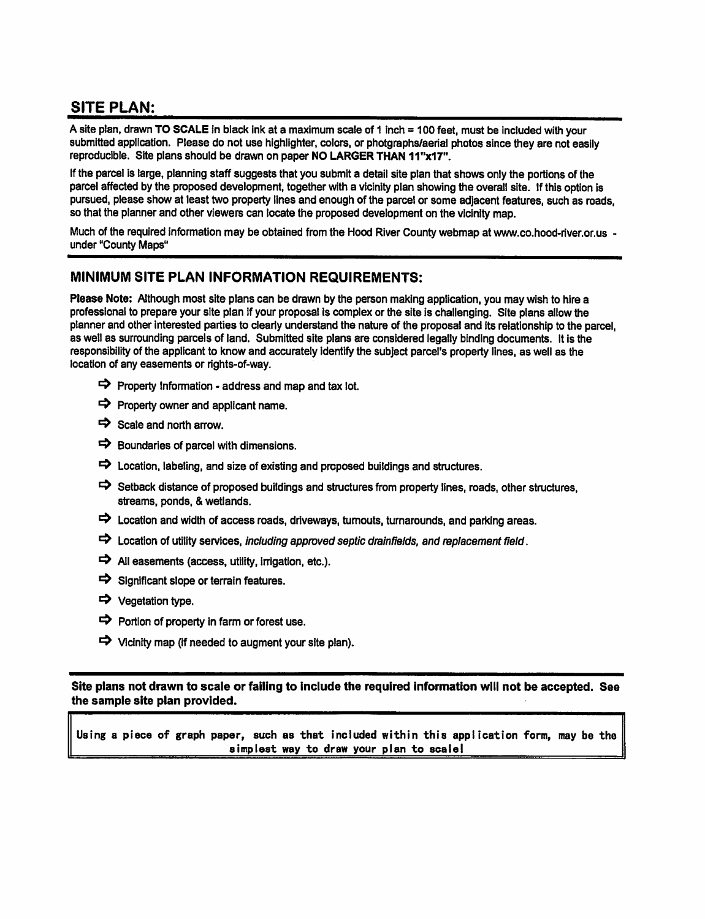## **SITE PLAN:**

A site plan, drawn TO SCALE in black ink at a maximum scale of 1 inch = 100 feet, must be included with your submitted application. Please do not use highlighter, colors, or photgraphs/aerial photos since they are not easily reproducible. Site plans should be drawn on paper NO LARGER THAN 11"x17".

If the parcel is large, planning staff suggests that you submit a detail site plan that shows only the portions of the parcel affected by the proposed development, together with a vicinity plan showing the overall site. If this option is pursued, please show at least two property lines and enough of the parcel or some adjacent features, such as roads, so that the planner and other viewers can locate the proposed development on the vicinity map.

Much of the required information may be obtained from the Hood River County webmap at www.co.hood-river.or.us under "County Maps"

#### MINIMUM SITE PLAN INFORMATION REQUIREMENTS:

Please Note: Although most site plans can be drawn by the person making application, you may wish to hire a professional to prepare your site plan if your proposal is complex or the site is challenging. Site plans allow the planner and other interested parties to clearly understand the nature of the proposal and its relationship to the parcel. as well as surrounding parcels of land. Submitted site plans are considered legally binding documents. It is the responsibility of the applicant to know and accurately identify the subject parcel's property lines, as well as the location of any easements or rights-of-way.

- $\Rightarrow$  Property Information address and map and tax lot.
- $\Rightarrow$  Property owner and applicant name.
- $\Rightarrow$  Scale and north arrow.
- $\Rightarrow$  Boundaries of parcel with dimensions.
- $\Rightarrow$  Location, labeling, and size of existing and proposed buildings and structures.
- Setback distance of proposed buildings and structures from property lines, roads, other structures, streams, ponds, & wetlands.
- $\Rightarrow$  Location and width of access roads, driveways, turnouts, turnarounds, and parking areas.
- $\Rightarrow$  Location of utility services, including approved septic drainfields, and replacement field.
- $\Rightarrow$  All easements (access, utility, irrigation, etc.).
- $\Rightarrow$  Significant slope or terrain features.
- → Vegetation type.
- $\Rightarrow$  Portion of property in farm or forest use.
- $\Rightarrow$  Vicinity map (if needed to augment your site plan).

Site plans not drawn to scale or failing to include the required information will not be accepted. See the sample site plan provided.

Using a piece of graph paper, such as that included within this application form, may be the simplest way to draw your plan to scale!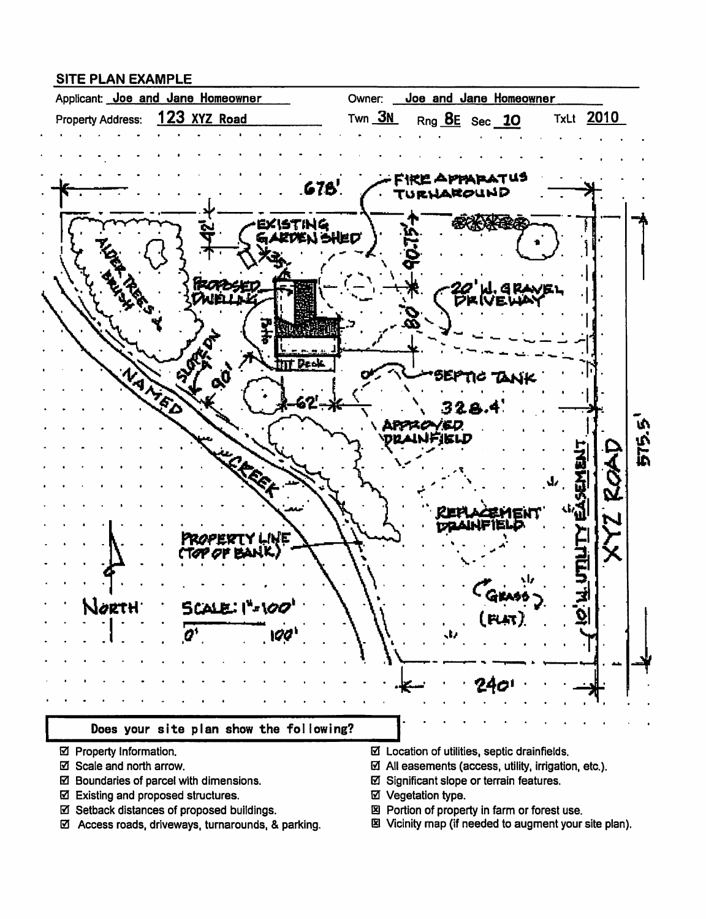#### **SITE PLAN EXAMPLE**



- ☑ Property Information.
- ☑ Scale and north arrow.
- ☑ Boundaries of parcel with dimensions.
- ☑ Existing and proposed structures.
- ☑ Setback distances of proposed buildings.
- ☑ Access roads, driveways, turnarounds, & parking.
- $\boxtimes$  Location of utilities, septic drainfields.
- $\boxtimes$  All easements (access, utility, irrigation, etc.).
- ☑ Significant slope or terrain features.
- ☑ Vegetation type.
- 図 Portion of property in farm or forest use.
- 图 Vicinity map (if needed to augment your site plan).